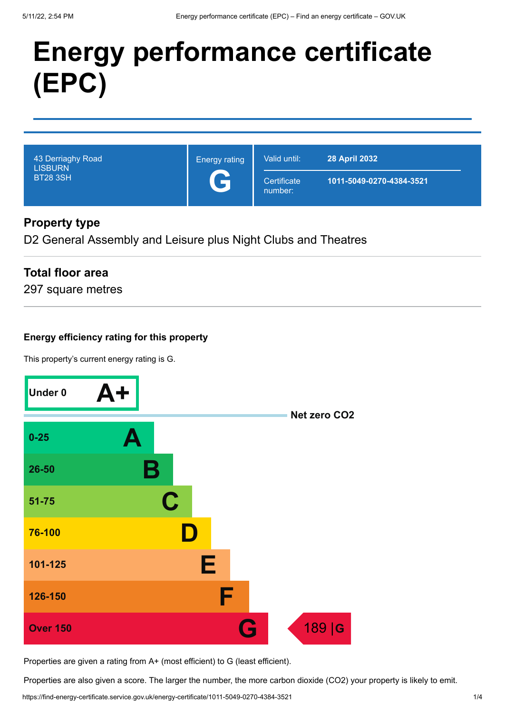# **Energy performance certificate (EPC)**

| 43 Derriaghy Road<br><b>LISBURN</b><br><b>BT28 3SH</b> | <b>Energy rating</b><br>Œ | Valid until:           | <b>28 April 2032</b>     |
|--------------------------------------------------------|---------------------------|------------------------|--------------------------|
|                                                        |                           | Certificate<br>number: | 1011-5049-0270-4384-3521 |

# **Property type**

D2 General Assembly and Leisure plus Night Clubs and Theatres

# **Total floor area**

297 square metres

## **Energy efficiency rating for this property**

This property's current energy rating is G.



Properties are given a rating from A+ (most efficient) to G (least efficient).

Properties are also given a score. The larger the number, the more carbon dioxide (CO2) your property is likely to emit.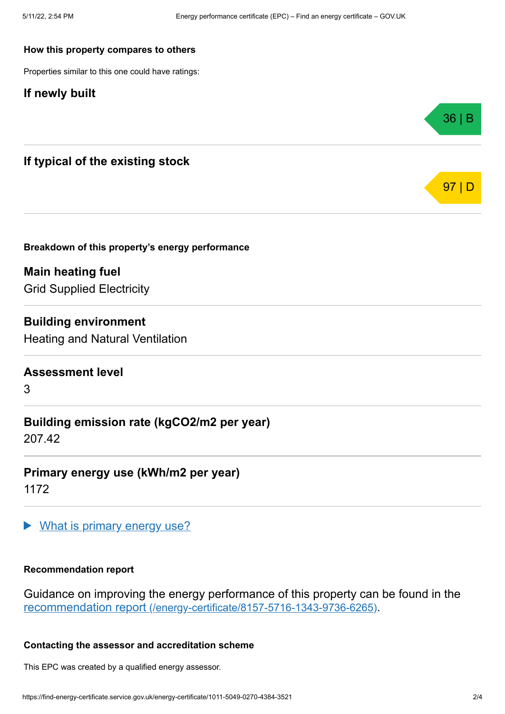#### **How this property compares to others**

Properties similar to this one could have ratings:

### **If newly built**



**Breakdown of this property's energy performance**

**Main heating fuel** Grid Supplied Electricity

**Building environment** Heating and Natural Ventilation

### **Assessment level**

3

**Building emission rate (kgCO2/m2 per year)** 207.42

**Primary energy use (kWh/m2 per year)** 1172

What is primary energy use?

#### **Recommendation report**

Guidance on improving the energy performance of this property can be found in the recommendation report [\(/energy-certificate/8157-5716-1343-9736-6265\)](https://find-energy-certificate.service.gov.uk/energy-certificate/8157-5716-1343-9736-6265).

#### **Contacting the assessor and accreditation scheme**

This EPC was created by a qualified energy assessor.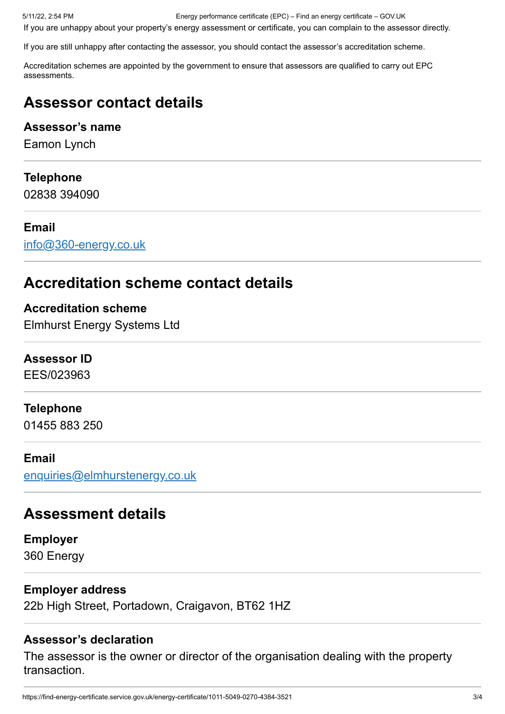5/11/22, 2:54 PM Energy performance certificate (EPC) – Find an energy certificate – GOV.UK

If you are unhappy about your property's energy assessment or certificate, you can complain to the assessor directly.

If you are still unhappy after contacting the assessor, you should contact the assessor's accreditation scheme.

Accreditation schemes are appointed by the government to ensure that assessors are qualified to carry out EPC assessments.

# **Assessor contact details**

# **Assessor's name**

Eamon Lynch

# **Telephone**

02838 394090

# **Email**

[info@360-energy.co.uk](mailto:info@360-energy.co.uk)

# **Accreditation scheme contact details**

## **Accreditation scheme**

Elmhurst Energy Systems Ltd

### **Assessor ID**

EES/023963

### **Telephone**

01455 883 250

### **Email**

[enquiries@elmhurstenergy.co.uk](mailto:enquiries@elmhurstenergy.co.uk)

# **Assessment details**

**Employer** 360 Energy

# **Employer address**

22b High Street, Portadown, Craigavon, BT62 1HZ

# **Assessor's declaration**

The assessor is the owner or director of the organisation dealing with the property transaction.